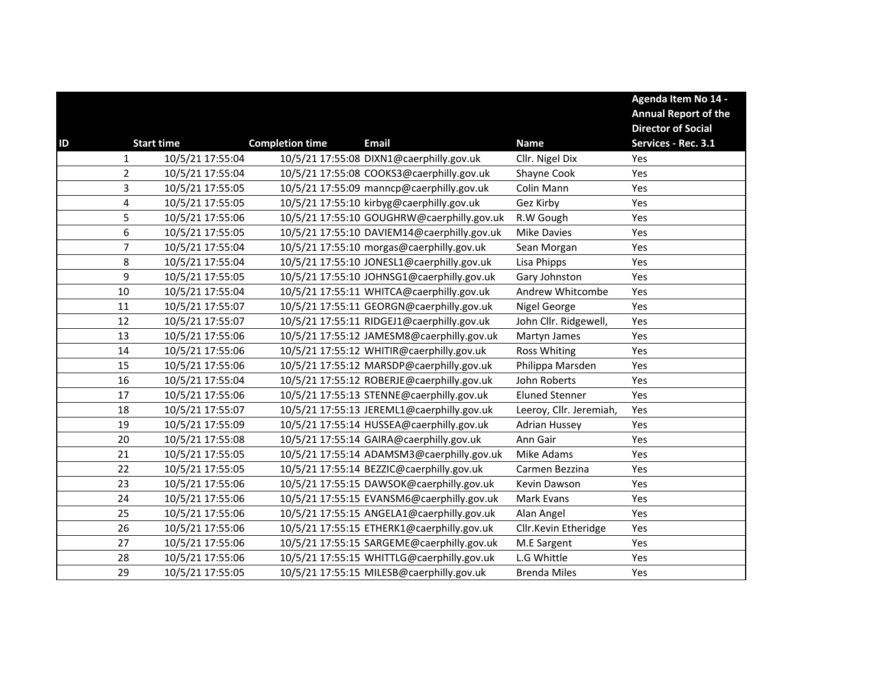|    |                                              |                        |                                             |                         | Agenda Item No 14 -<br><b>Annual Report of the</b> |
|----|----------------------------------------------|------------------------|---------------------------------------------|-------------------------|----------------------------------------------------|
|    |                                              |                        |                                             |                         | <b>Director of Social</b>                          |
| ID | <b>Start time</b>                            | <b>Completion time</b> | <b>Email</b>                                | <b>Name</b>             | Services - Rec. 3.1                                |
|    | 10/5/21 17:55:04<br>$\mathbf{1}$             |                        | 10/5/21 17:55:08 DIXN1@caerphilly.gov.uk    | Cllr. Nigel Dix         | Yes                                                |
|    | $\overline{2}$<br>10/5/21 17:55:04           |                        | 10/5/21 17:55:08 COOKS3@caerphilly.gov.uk   | Shayne Cook             | Yes                                                |
|    | 3<br>10/5/21 17:55:05                        |                        | 10/5/21 17:55:09 manncp@caerphilly.gov.uk   | Colin Mann              | Yes                                                |
|    | 10/5/21 17:55:05<br>4                        |                        | 10/5/21 17:55:10 kirbyg@caerphilly.gov.uk   | Gez Kirby               | Yes                                                |
|    | 5<br>10/5/21 17:55:06                        |                        | 10/5/21 17:55:10 GOUGHRW@caerphilly.gov.uk  | R.W Gough               | Yes                                                |
|    | 6<br>10/5/21 17:55:05                        |                        | 10/5/21 17:55:10 DAVIEM14@caerphilly.gov.uk | Mike Davies             | Yes                                                |
|    | $\overline{\mathcal{I}}$<br>10/5/21 17:55:04 |                        | 10/5/21 17:55:10 morgas@caerphilly.gov.uk   | Sean Morgan             | Yes                                                |
|    | 8<br>10/5/21 17:55:04                        |                        | 10/5/21 17:55:10 JONESL1@caerphilly.gov.uk  | Lisa Phipps             | Yes                                                |
|    | 9<br>10/5/21 17:55:05                        |                        | 10/5/21 17:55:10 JOHNSG1@caerphilly.gov.uk  | Gary Johnston           | Yes                                                |
| 10 | 10/5/21 17:55:04                             |                        | 10/5/21 17:55:11 WHITCA@caerphilly.gov.uk   | Andrew Whitcombe        | Yes                                                |
| 11 | 10/5/21 17:55:07                             |                        | 10/5/21 17:55:11 GEORGN@caerphilly.gov.uk   | Nigel George            | Yes                                                |
| 12 | 10/5/21 17:55:07                             |                        | 10/5/21 17:55:11 RIDGEJ1@caerphilly.gov.uk  | John Cllr. Ridgewell,   | Yes                                                |
| 13 | 10/5/21 17:55:06                             |                        | 10/5/21 17:55:12 JAMESM8@caerphilly.gov.uk  | Martyn James            | Yes                                                |
| 14 | 10/5/21 17:55:06                             |                        | 10/5/21 17:55:12 WHITIR@caerphilly.gov.uk   | <b>Ross Whiting</b>     | Yes                                                |
| 15 | 10/5/21 17:55:06                             |                        | 10/5/21 17:55:12 MARSDP@caerphilly.gov.uk   | Philippa Marsden        | Yes                                                |
| 16 | 10/5/21 17:55:04                             |                        | 10/5/21 17:55:12 ROBERJE@caerphilly.gov.uk  | John Roberts            | Yes                                                |
| 17 | 10/5/21 17:55:06                             |                        | 10/5/21 17:55:13 STENNE@caerphilly.gov.uk   | <b>Eluned Stenner</b>   | Yes                                                |
| 18 | 10/5/21 17:55:07                             |                        | 10/5/21 17:55:13 JEREML1@caerphilly.gov.uk  | Leeroy, Cllr. Jeremiah, | Yes                                                |
| 19 | 10/5/21 17:55:09                             |                        | 10/5/21 17:55:14 HUSSEA@caerphilly.gov.uk   | <b>Adrian Hussey</b>    | Yes                                                |
| 20 | 10/5/21 17:55:08                             |                        | 10/5/21 17:55:14 GAIRA@caerphilly.gov.uk    | Ann Gair                | Yes                                                |
| 21 | 10/5/21 17:55:05                             |                        | 10/5/21 17:55:14 ADAMSM3@caerphilly.gov.uk  | Mike Adams              | Yes                                                |
| 22 | 10/5/21 17:55:05                             |                        | 10/5/21 17:55:14 BEZZIC@caerphilly.gov.uk   | Carmen Bezzina          | Yes                                                |
| 23 | 10/5/21 17:55:06                             |                        | 10/5/21 17:55:15 DAWSOK@caerphilly.gov.uk   | Kevin Dawson            | Yes                                                |
| 24 | 10/5/21 17:55:06                             |                        | 10/5/21 17:55:15 EVANSM6@caerphilly.gov.uk  | Mark Evans              | Yes                                                |
| 25 | 10/5/21 17:55:06                             |                        | 10/5/21 17:55:15 ANGELA1@caerphilly.gov.uk  | Alan Angel              | Yes                                                |
| 26 | 10/5/21 17:55:06                             |                        | 10/5/21 17:55:15 ETHERK1@caerphilly.gov.uk  | Cllr.Kevin Etheridge    | Yes                                                |
| 27 | 10/5/21 17:55:06                             |                        | 10/5/21 17:55:15 SARGEME@caerphilly.gov.uk  | M.E Sargent             | Yes                                                |
| 28 | 10/5/21 17:55:06                             |                        | 10/5/21 17:55:15 WHITTLG@caerphilly.gov.uk  | L.G Whittle             | Yes                                                |
| 29 | 10/5/21 17:55:05                             |                        | 10/5/21 17:55:15 MILESB@caerphilly.gov.uk   | <b>Brenda Miles</b>     | Yes                                                |